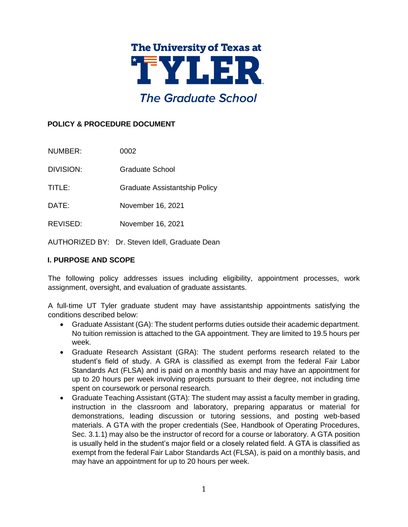

# **POLICY & PROCEDURE DOCUMENT**

NUMBER: 0002

DIVISION: Graduate School

TITLE: Graduate Assistantship Policy

DATE: November 16, 2021

REVISED: November 16, 2021

AUTHORIZED BY: Dr. Steven Idell, Graduate Dean

## **I. PURPOSE AND SCOPE**

The following policy addresses issues including eligibility, appointment processes, work assignment, oversight, and evaluation of graduate assistants.

A full-time UT Tyler graduate student may have assistantship appointments satisfying the conditions described below:

- Graduate Assistant (GA): The student performs duties outside their academic department. No tuition remission is attached to the GA appointment. They are limited to 19.5 hours per week.
- Graduate Research Assistant (GRA): The student performs research related to the student's field of study. A GRA is classified as exempt from the federal Fair Labor Standards Act (FLSA) and is paid on a monthly basis and may have an appointment for up to 20 hours per week involving projects pursuant to their degree, not including time spent on coursework or personal research.
- Graduate Teaching Assistant (GTA): The student may assist a faculty member in grading, instruction in the classroom and laboratory, preparing apparatus or material for demonstrations, leading discussion or tutoring sessions, and posting web-based materials. A GTA with the proper credentials (See, Handbook of Operating Procedures, Sec. 3.1.1) may also be the instructor of record for a course or laboratory. A GTA position is usually held in the student's major field or a closely related field. A GTA is classified as exempt from the federal Fair Labor Standards Act (FLSA), is paid on a monthly basis, and may have an appointment for up to 20 hours per week.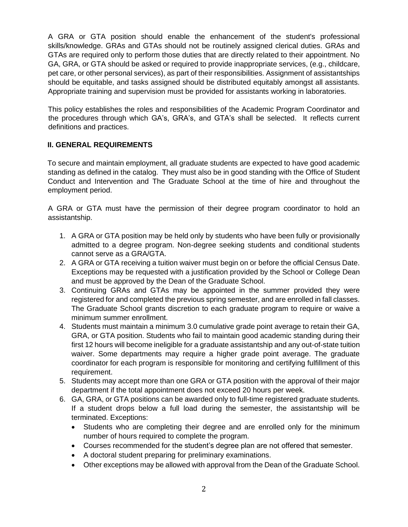A GRA or GTA position should enable the enhancement of the student's professional skills/knowledge. GRAs and GTAs should not be routinely assigned clerical duties. GRAs and GTAs are required only to perform those duties that are directly related to their appointment. No GA, GRA, or GTA should be asked or required to provide inappropriate services, (e.g., childcare, pet care, or other personal services), as part of their responsibilities. Assignment of assistantships should be equitable, and tasks assigned should be distributed equitably amongst all assistants. Appropriate training and supervision must be provided for assistants working in laboratories.

This policy establishes the roles and responsibilities of the Academic Program Coordinator and the procedures through which GA's, GRA's, and GTA's shall be selected. It reflects current definitions and practices.

### **II. GENERAL REQUIREMENTS**

To secure and maintain employment, all graduate students are expected to have good academic standing as defined in the catalog. They must also be in good standing with the Office of Student Conduct and Intervention and The Graduate School at the time of hire and throughout the employment period.

A GRA or GTA must have the permission of their degree program coordinator to hold an assistantship.

- 1. A GRA or GTA position may be held only by students who have been fully or provisionally admitted to a degree program. Non-degree seeking students and conditional students cannot serve as a GRA/GTA.
- 2. A GRA or GTA receiving a tuition waiver must begin on or before the official Census Date. Exceptions may be requested with a justification provided by the School or College Dean and must be approved by the Dean of the Graduate School.
- 3. Continuing GRAs and GTAs may be appointed in the summer provided they were registered for and completed the previous spring semester, and are enrolled in fall classes. The Graduate School grants discretion to each graduate program to require or waive a minimum summer enrollment.
- 4. Students must maintain a minimum 3.0 cumulative grade point average to retain their GA, GRA, or GTA position. Students who fail to maintain good academic standing during their first 12 hours will become ineligible for a graduate assistantship and any out-of-state tuition waiver. Some departments may require a higher grade point average. The graduate coordinator for each program is responsible for monitoring and certifying fulfillment of this requirement.
- 5. Students may accept more than one GRA or GTA position with the approval of their major department if the total appointment does not exceed 20 hours per week.
- 6. GA, GRA, or GTA positions can be awarded only to full-time registered graduate students. If a student drops below a full load during the semester, the assistantship will be terminated. Exceptions:
	- Students who are completing their degree and are enrolled only for the minimum number of hours required to complete the program.
	- Courses recommended for the student's degree plan are not offered that semester.
	- A doctoral student preparing for preliminary examinations.
	- Other exceptions may be allowed with approval from the Dean of the Graduate School.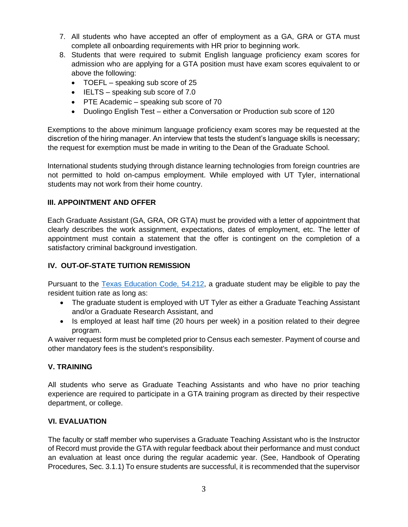- 7. All students who have accepted an offer of employment as a GA, GRA or GTA must complete all onboarding requirements with HR prior to beginning work.
- 8. Students that were required to submit English language proficiency exam scores for admission who are applying for a GTA position must have exam scores equivalent to or above the following:
	- TOEFL speaking sub score of 25
	- IELTS speaking sub score of 7.0
	- PTE Academic speaking sub score of 70
	- Duolingo English Test either a Conversation or Production sub score of 120

Exemptions to the above minimum language proficiency exam scores may be requested at the discretion of the hiring manager. An interview that tests the student's language skills is necessary; the request for exemption must be made in writing to the Dean of the Graduate School.

International students studying through distance learning technologies from foreign countries are not permitted to hold on-campus employment. While employed with UT Tyler, international students may not work from their home country.

## **III. APPOINTMENT AND OFFER**

Each Graduate Assistant (GA, GRA, OR GTA) must be provided with a letter of appointment that clearly describes the work assignment, expectations, dates of employment, etc. The letter of appointment must contain a statement that the offer is contingent on the completion of a satisfactory criminal background investigation.

# **IV. OUT-OF-STATE TUITION REMISSION**

Pursuant to the [Texas Education Code, 54.212,](http://www.collegeforalltexans.com/apps/financialaid/tofa2.cfm?ID=426) a graduate student may be eligible to pay the resident tuition rate as long as:

- The graduate student is employed with UT Tyler as either a Graduate Teaching Assistant and/or a Graduate Research Assistant, and
- Is employed at least half time (20 hours per week) in a position related to their degree program.

A waiver request form must be completed prior to Census each semester. Payment of course and other mandatory fees is the student's responsibility.

#### **V. TRAINING**

All students who serve as Graduate Teaching Assistants and who have no prior teaching experience are required to participate in a GTA training program as directed by their respective department, or college.

## **VI. EVALUATION**

The faculty or staff member who supervises a Graduate Teaching Assistant who is the Instructor of Record must provide the GTA with regular feedback about their performance and must conduct an evaluation at least once during the regular academic year. (See, Handbook of Operating Procedures, Sec. 3.1.1) To ensure students are successful, it is recommended that the supervisor